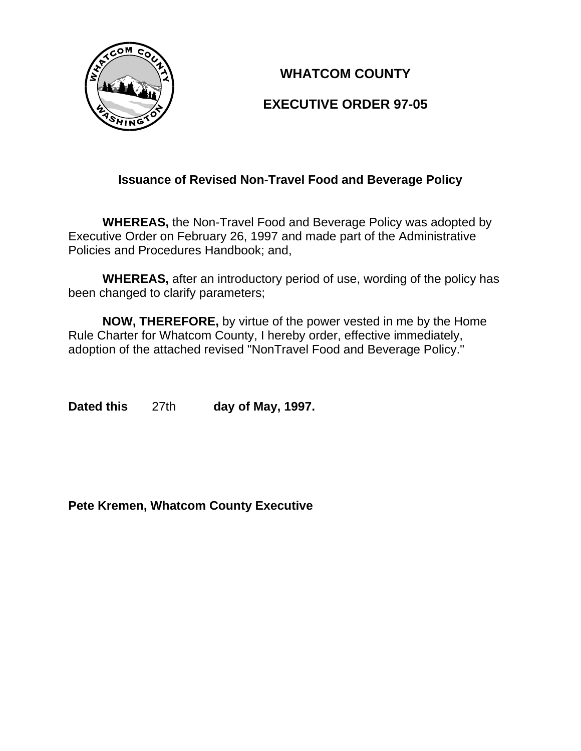

# **WHATCOM COUNTY**

# **EXECUTIVE ORDER 97-05**

# **Issuance of Revised Non-Travel Food and Beverage Policy**

**WHEREAS,** the Non-Travel Food and Beverage Policy was adopted by Executive Order on February 26, 1997 and made part of the Administrative Policies and Procedures Handbook; and,

**WHEREAS,** after an introductory period of use, wording of the policy has been changed to clarify parameters;

**NOW, THEREFORE,** by virtue of the power vested in me by the Home Rule Charter for Whatcom County, I hereby order, effective immediately, adoption of the attached revised "NonTravel Food and Beverage Policy."

**Dated this** 27th **day of May, 1997.**

**Pete Kremen, Whatcom County Executive**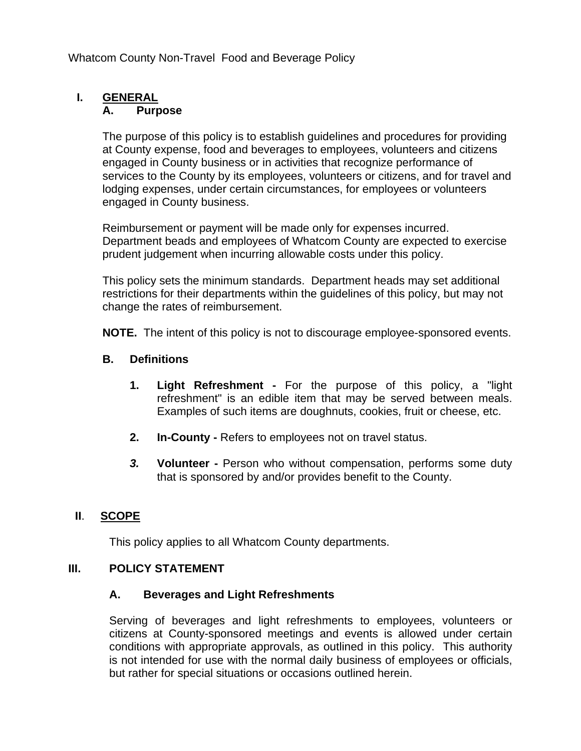Whatcom County Non-Travel Food and Beverage Policy

# **I. GENERAL**

#### **A. Purpose**

The purpose of this policy is to establish guidelines and procedures for providing at County expense, food and beverages to employees, volunteers and citizens engaged in County business or in activities that recognize performance of services to the County by its employees, volunteers or citizens, and for travel and lodging expenses, under certain circumstances, for employees or volunteers engaged in County business.

Reimbursement or payment will be made only for expenses incurred. Department beads and employees of Whatcom County are expected to exercise prudent judgement when incurring allowable costs under this policy.

This policy sets the minimum standards. Department heads may set additional restrictions for their departments within the guidelines of this policy, but may not change the rates of reimbursement.

**NOTE.** The intent of this policy is not to discourage employee-sponsored events.

#### **B. Definitions**

- **1. Light Refreshment** For the purpose of this policy, a "light refreshment" is an edible item that may be served between meals. Examples of such items are doughnuts, cookies, fruit or cheese, etc.
- **2. In-County** Refers to employees not on travel status.
- *3.* **Volunteer** Person who without compensation, performs some duty that is sponsored by and/or provides benefit to the County.

## **II**. **SCOPE**

This policy applies to all Whatcom County departments.

#### **III. POLICY STATEMENT**

#### **A. Beverages and Light Refreshments**

Serving of beverages and light refreshments to employees, volunteers or citizens at County-sponsored meetings and events is allowed under certain conditions with appropriate approvals, as outlined in this policy. This authority is not intended for use with the normal daily business of employees or officials, but rather for special situations or occasions outlined herein.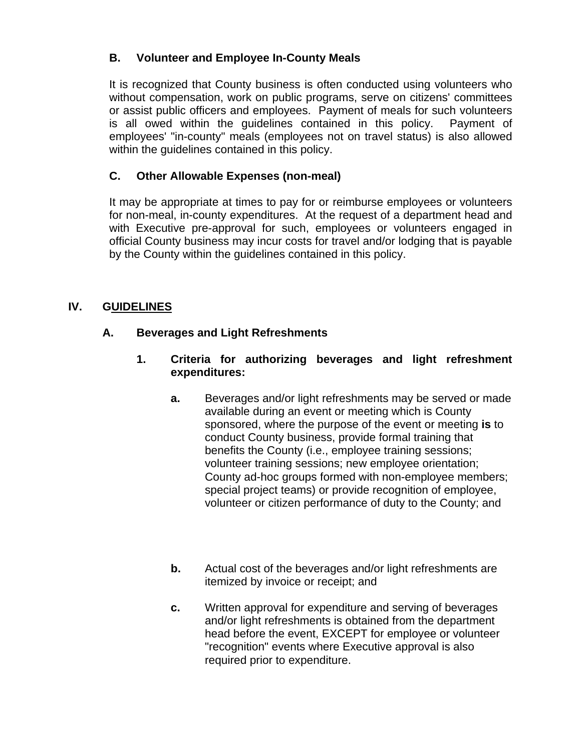# **B. Volunteer and Employee In-County Meals**

It is recognized that County business is often conducted using volunteers who without compensation, work on public programs, serve on citizens' committees or assist public officers and employees. Payment of meals for such volunteers is all owed within the guidelines contained in this policy. Payment of employees' "in-county" meals (employees not on travel status) is also allowed within the guidelines contained in this policy.

# **C. Other Allowable Expenses (non-meal)**

It may be appropriate at times to pay for or reimburse employees or volunteers for non-meal, in-county expenditures. At the request of a department head and with Executive pre-approval for such, employees or volunteers engaged in official County business may incur costs for travel and/or lodging that is payable by the County within the guidelines contained in this policy.

## **IV. GUIDELINES**

## **A. Beverages and Light Refreshments**

- **1. Criteria for authorizing beverages and light refreshment expenditures:**
	- **a.** Beverages and/or light refreshments may be served or made available during an event or meeting which is County sponsored, where the purpose of the event or meeting **is** to conduct County business, provide formal training that benefits the County (i.e., employee training sessions; volunteer training sessions; new employee orientation; County ad-hoc groups formed with non-employee members; special project teams) or provide recognition of employee, volunteer or citizen performance of duty to the County; and
	- **b.** Actual cost of the beverages and/or light refreshments are itemized by invoice or receipt; and
	- **c.** Written approval for expenditure and serving of beverages and/or light refreshments is obtained from the department head before the event, EXCEPT for employee or volunteer "recognition" events where Executive approval is also required prior to expenditure.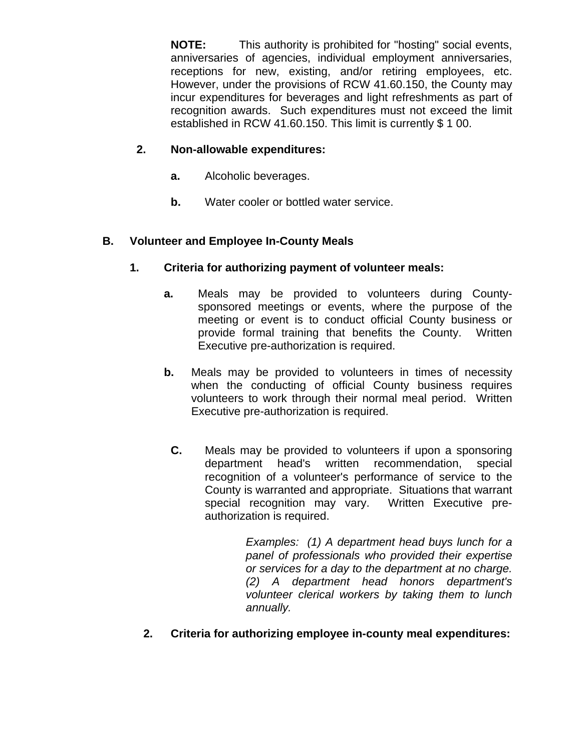**NOTE:** This authority is prohibited for "hosting" social events, anniversaries of agencies, individual employment anniversaries, receptions for new, existing, and/or retiring employees, etc. However, under the provisions of RCW 41.60.150, the County may incur expenditures for beverages and light refreshments as part of recognition awards. Such expenditures must not exceed the limit established in RCW 41.60.150. This limit is currently \$ 1 00.

#### **2. Non-allowable expenditures:**

- **a.** Alcoholic beverages.
- **b.** Water cooler or bottled water service.

#### **B. Volunteer and Employee In-County Meals**

- **1. Criteria for authorizing payment of volunteer meals:**
	- **a.** Meals may be provided to volunteers during Countysponsored meetings or events, where the purpose of the meeting or event is to conduct official County business or provide formal training that benefits the County. Written Executive pre-authorization is required.
	- **b.** Meals may be provided to volunteers in times of necessity when the conducting of official County business requires volunteers to work through their normal meal period. Written Executive pre-authorization is required.
		- **C.** Meals may be provided to volunteers if upon a sponsoring department head's written recommendation, special recognition of a volunteer's performance of service to the County is warranted and appropriate. Situations that warrant special recognition may vary. Written Executive preauthorization is required.

*Examples: (1) A department head buys lunch for a panel of professionals who provided their expertise or services for a day to the department at no charge. (2) A department head honors department's volunteer clerical workers by taking them to lunch annually.*

**2. Criteria for authorizing employee in-county meal expenditures:**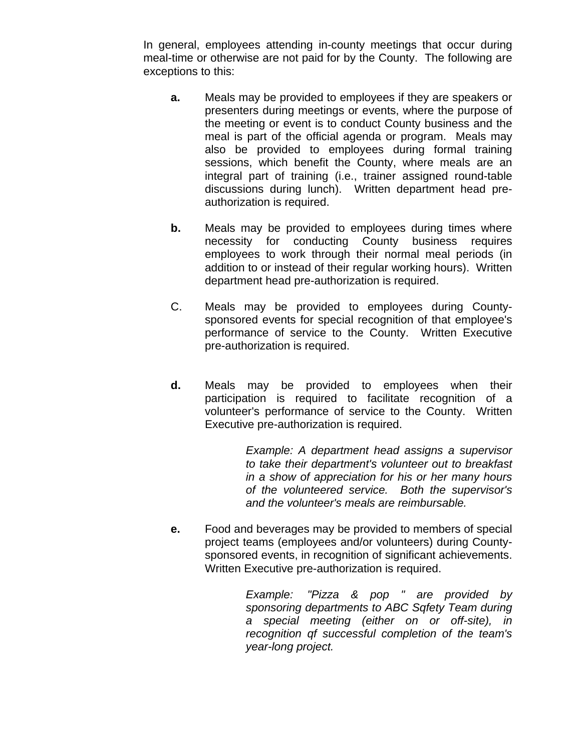In general, employees attending in-county meetings that occur during meal-time or otherwise are not paid for by the County. The following are exceptions to this:

- **a.** Meals may be provided to employees if they are speakers or presenters during meetings or events, where the purpose of the meeting or event is to conduct County business and the meal is part of the official agenda or program. Meals may also be provided to employees during formal training sessions, which benefit the County, where meals are an integral part of training (i.e., trainer assigned round-table discussions during lunch). Written department head preauthorization is required.
- **b.** Meals may be provided to employees during times where necessity for conducting County business requires employees to work through their normal meal periods (in addition to or instead of their regular working hours). Written department head pre-authorization is required.
- C. Meals may be provided to employees during Countysponsored events for special recognition of that employee's performance of service to the County. Written Executive pre-authorization is required.
- **d.** Meals may be provided to employees when their participation is required to facilitate recognition of a volunteer's performance of service to the County. Written Executive pre-authorization is required.

*Example: A department head assigns a supervisor to take their department's volunteer out to breakfast in a show of appreciation for his or her many hours of the volunteered service. Both the supervisor's and the volunteer's meals are reimbursable.*

**e.** Food and beverages may be provided to members of special project teams (employees and/or volunteers) during Countysponsored events, in recognition of significant achievements. Written Executive pre-authorization is required.

> *Example: "Pizza & pop " are provided by sponsoring departments to ABC Sqfety Team during a special meeting (either on or off-site), in recognition qf successful completion of the team's year-long project.*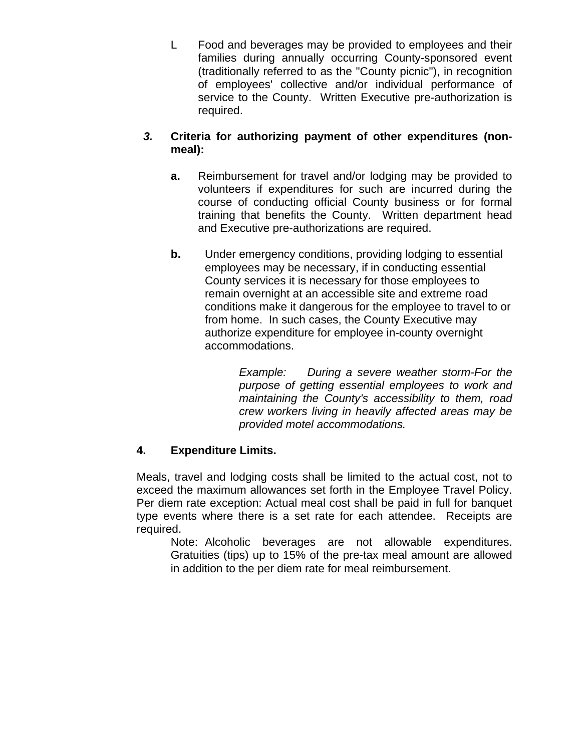L Food and beverages may be provided to employees and their families during annually occurring County-sponsored event (traditionally referred to as the "County picnic"), in recognition of employees' collective and/or individual performance of service to the County. Written Executive pre-authorization is required.

#### *3.* **Criteria for authorizing payment of other expenditures (nonmeal):**

- **a.** Reimbursement for travel and/or lodging may be provided to volunteers if expenditures for such are incurred during the course of conducting official County business or for formal training that benefits the County. Written department head and Executive pre-authorizations are required.
- **b.** Under emergency conditions, providing lodging to essential employees may be necessary, if in conducting essential County services it is necessary for those employees to remain overnight at an accessible site and extreme road conditions make it dangerous for the employee to travel to or from home. In such cases, the County Executive may authorize expenditure for employee in-county overnight accommodations.

*Example: During a severe weather storm-For the purpose of getting essential employees to work and maintaining the County's accessibility to them, road crew workers living in heavily affected areas may be provided motel accommodations.*

## **4. Expenditure Limits.**

Meals, travel and lodging costs shall be limited to the actual cost, not to exceed the maximum allowances set forth in the Employee Travel Policy. Per diem rate exception: Actual meal cost shall be paid in full for banquet type events where there is a set rate for each attendee. Receipts are required.

Note: Alcoholic beverages are not allowable expenditures. Gratuities (tips) up to 15% of the pre-tax meal amount are allowed in addition to the per diem rate for meal reimbursement.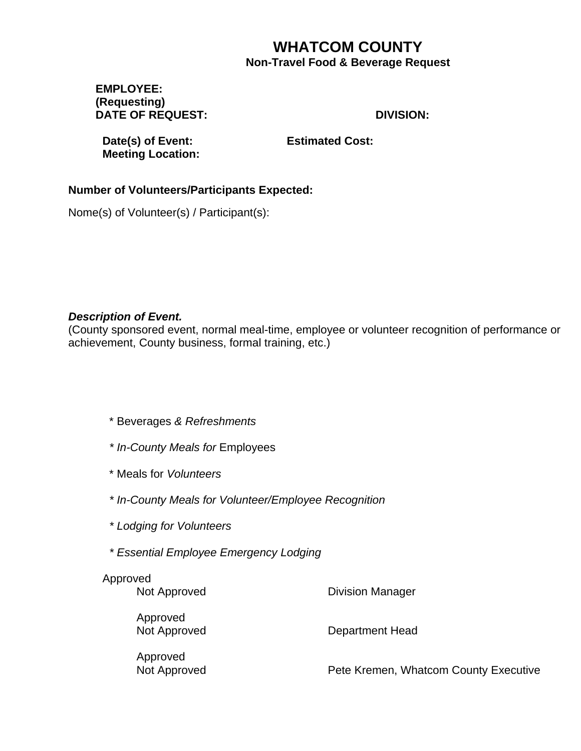# **WHATCOM COUNTY Non-Travel Food & Beverage Request**

#### **EMPLOYEE: (Requesting) DATE OF REQUEST: DIVISION:**

**Date(s) of Event: Estimated Cost: Meeting Location:**

# **Number of Volunteers/Participants Expected:**

Nome(s) of Volunteer(s) / Participant(s):

#### *Description of Event.*

(County sponsored event, normal meal-time, employee or volunteer recognition of performance or achievement, County business, formal training, etc.)

- \* Beverages *& Refreshments*
- *\* In-County Meals for* Employees
- \* Meals for *Volunteers*
- *\* In-County Meals for Volunteer/Employee Recognition*
- *\* Lodging for Volunteers*
- *\* Essential Employee Emergency Lodging*

| Approved<br>Not Approved | <b>Division Manager</b> |
|--------------------------|-------------------------|
| Approved<br>Not Approved | Department Head         |

Approved

Not Approved **Not Approved** Pete Kremen, Whatcom County Executive